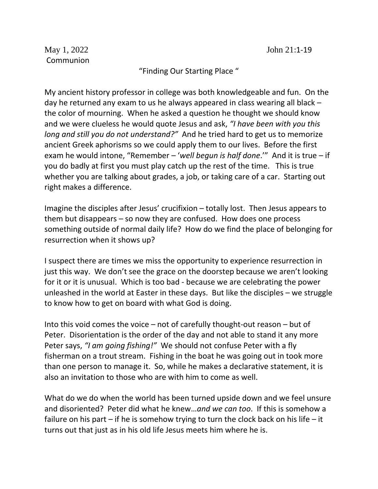## "Finding Our Starting Place "

My ancient history professor in college was both knowledgeable and fun. On the day he returned any exam to us he always appeared in class wearing all black – the color of mourning. When he asked a question he thought we should know and we were clueless he would quote Jesus and ask, *"I have been with you this long and still you do not understand?"* And he tried hard to get us to memorize ancient Greek aphorisms so we could apply them to our lives. Before the first exam he would intone, "Remember – '*well begun is half done*.'" And it is true – if you do badly at first you must play catch up the rest of the time. This is true whether you are talking about grades, a job, or taking care of a car. Starting out right makes a difference.

Imagine the disciples after Jesus' crucifixion – totally lost. Then Jesus appears to them but disappears – so now they are confused. How does one process something outside of normal daily life? How do we find the place of belonging for resurrection when it shows up?

I suspect there are times we miss the opportunity to experience resurrection in just this way. We don't see the grace on the doorstep because we aren't looking for it or it is unusual. Which is too bad - because we are celebrating the power unleashed in the world at Easter in these days. But like the disciples – we struggle to know how to get on board with what God is doing.

Into this void comes the voice – not of carefully thought-out reason – but of Peter. Disorientation is the order of the day and not able to stand it any more Peter says, *"I am going fishing!"* We should not confuse Peter with a fly fisherman on a trout stream. Fishing in the boat he was going out in took more than one person to manage it. So, while he makes a declarative statement, it is also an invitation to those who are with him to come as well.

What do we do when the world has been turned upside down and we feel unsure and disoriented? Peter did what he knew…*and we can too*. If this is somehow a failure on his part – if he is somehow trying to turn the clock back on his life – it turns out that just as in his old life Jesus meets him where he is.